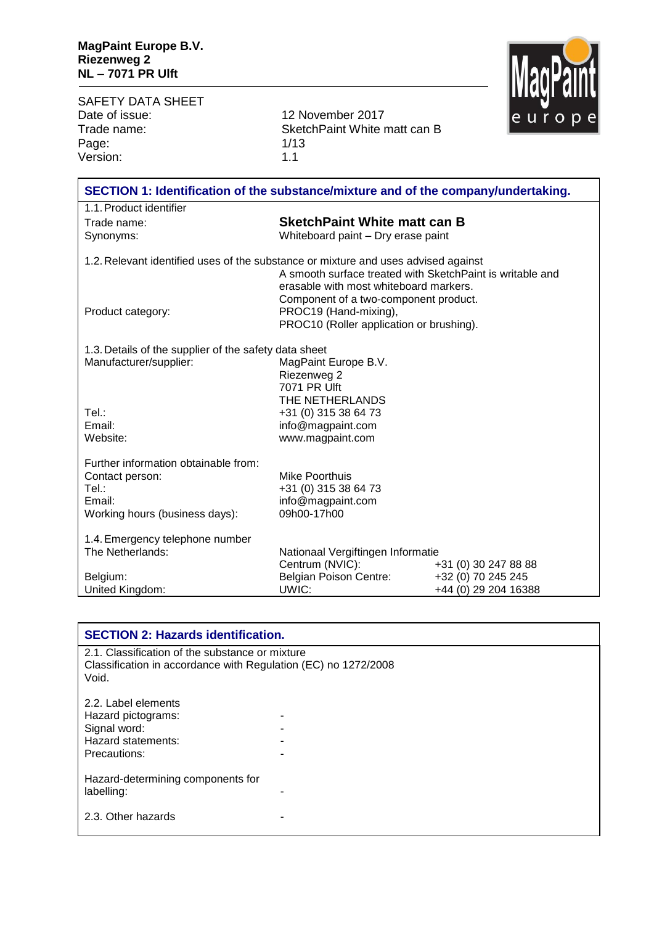SAFETY DATA SHEET<br>Date of issue: Date of issue: 12 November 2017<br>Trade name: 5 SketchPaint White r Page: 1/13<br>Version: 1.1 Version:

SketchPaint White matt can B<br>1/13



| SECTION 1: Identification of the substance/mixture and of the company/undertaking. |                                                                |                      |  |
|------------------------------------------------------------------------------------|----------------------------------------------------------------|----------------------|--|
| 1.1. Product identifier                                                            |                                                                |                      |  |
| Trade name:                                                                        | <b>SketchPaint White matt can B</b>                            |                      |  |
| Synonyms:                                                                          | Whiteboard paint - Dry erase paint                             |                      |  |
|                                                                                    |                                                                |                      |  |
| 1.2. Relevant identified uses of the substance or mixture and uses advised against |                                                                |                      |  |
|                                                                                    | A smooth surface treated with SketchPaint is writable and      |                      |  |
|                                                                                    | erasable with most whiteboard markers.                         |                      |  |
| Product category:                                                                  | Component of a two-component product.<br>PROC19 (Hand-mixing), |                      |  |
|                                                                                    | PROC10 (Roller application or brushing).                       |                      |  |
|                                                                                    |                                                                |                      |  |
| 1.3. Details of the supplier of the safety data sheet                              |                                                                |                      |  |
| Manufacturer/supplier:                                                             | MagPaint Europe B.V.                                           |                      |  |
|                                                                                    | Riezenweg 2                                                    |                      |  |
|                                                                                    | 7071 PR Ulft                                                   |                      |  |
|                                                                                    | THE NETHERLANDS                                                |                      |  |
| Tel.:                                                                              | +31 (0) 315 38 64 73                                           |                      |  |
| Email:                                                                             | info@magpaint.com                                              |                      |  |
| Website:                                                                           | www.magpaint.com                                               |                      |  |
| Further information obtainable from:                                               |                                                                |                      |  |
| Contact person:                                                                    | Mike Poorthuis                                                 |                      |  |
| Tel.:                                                                              | +31 (0) 315 38 64 73                                           |                      |  |
| Email:                                                                             | info@magpaint.com                                              |                      |  |
| Working hours (business days):                                                     | 09h00-17h00                                                    |                      |  |
|                                                                                    |                                                                |                      |  |
| 1.4. Emergency telephone number                                                    |                                                                |                      |  |
| The Netherlands:                                                                   | Nationaal Vergiftingen Informatie                              |                      |  |
|                                                                                    | Centrum (NVIC):                                                | +31 (0) 30 247 88 88 |  |
| Belgium:                                                                           | <b>Belgian Poison Centre:</b>                                  | +32 (0) 70 245 245   |  |
| United Kingdom:                                                                    | UWIC:                                                          | +44 (0) 29 204 16388 |  |

| <b>SECTION 2: Hazards identification.</b>                                                                                  |  |  |
|----------------------------------------------------------------------------------------------------------------------------|--|--|
| 2.1. Classification of the substance or mixture<br>Classification in accordance with Regulation (EC) no 1272/2008<br>Void. |  |  |
| 2.2. Label elements                                                                                                        |  |  |
| Hazard pictograms:                                                                                                         |  |  |
| Signal word:                                                                                                               |  |  |
| Hazard statements:                                                                                                         |  |  |
| Precautions:                                                                                                               |  |  |
| Hazard-determining components for                                                                                          |  |  |
| labelling:                                                                                                                 |  |  |
| 2.3. Other hazards                                                                                                         |  |  |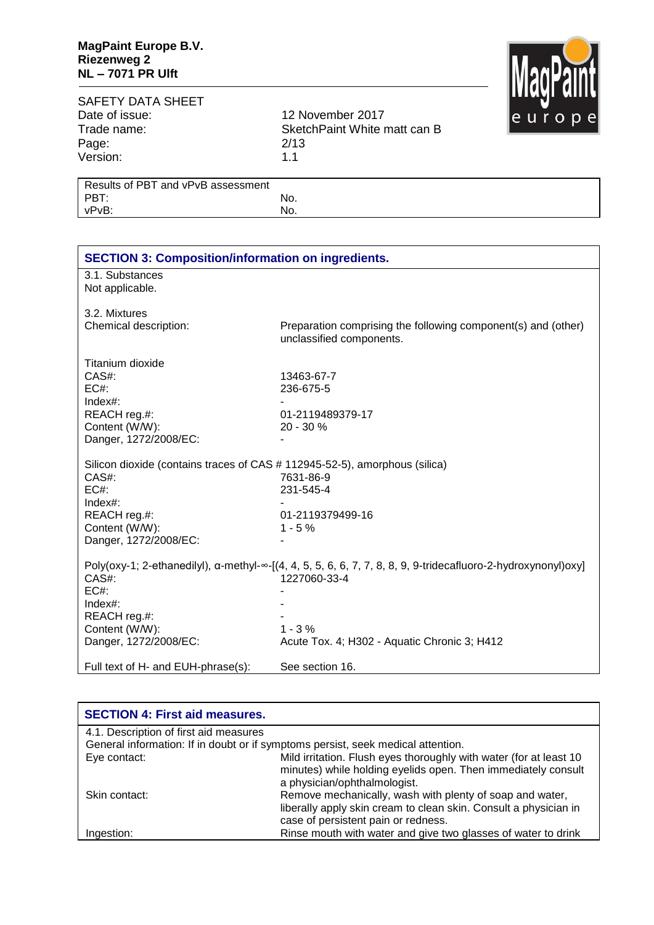

## SAFETY DATA SHEET<br>Date of issue: Date of issue: 12 November 2017<br>Trade name: 5 SketchPaint White r Page: 2/13<br>Version: 2013 Version:

SketchPaint White matt can B<br>2/13

| Results of PBT and vPvB assessment |     |
|------------------------------------|-----|
| PBT:                               | No. |
| vPvB:                              | No. |
|                                    |     |

| <b>SECTION 3: Composition/information on ingredients.</b>                  |                                                                                                                                |  |  |
|----------------------------------------------------------------------------|--------------------------------------------------------------------------------------------------------------------------------|--|--|
| 3.1. Substances                                                            |                                                                                                                                |  |  |
| Not applicable.                                                            |                                                                                                                                |  |  |
|                                                                            |                                                                                                                                |  |  |
| 3.2. Mixtures                                                              |                                                                                                                                |  |  |
| Chemical description:                                                      | Preparation comprising the following component(s) and (other)                                                                  |  |  |
|                                                                            | unclassified components.                                                                                                       |  |  |
|                                                                            |                                                                                                                                |  |  |
| Titanium dioxide                                                           |                                                                                                                                |  |  |
| CAS#:                                                                      | 13463-67-7                                                                                                                     |  |  |
| EC#                                                                        | 236-675-5                                                                                                                      |  |  |
| $Index#$ :                                                                 |                                                                                                                                |  |  |
| REACH reg.#:                                                               | 01-2119489379-17                                                                                                               |  |  |
| Content (W/W):                                                             | $20 - 30 \%$                                                                                                                   |  |  |
| Danger, 1272/2008/EC:                                                      |                                                                                                                                |  |  |
|                                                                            |                                                                                                                                |  |  |
| Silicon dioxide (contains traces of CAS # 112945-52-5), amorphous (silica) |                                                                                                                                |  |  |
| CAS#:                                                                      | 7631-86-9                                                                                                                      |  |  |
| EC#:                                                                       | 231-545-4                                                                                                                      |  |  |
| Index#:                                                                    |                                                                                                                                |  |  |
| REACH reg.#:                                                               | 01-2119379499-16                                                                                                               |  |  |
| Content (W/W):                                                             | $1 - 5%$                                                                                                                       |  |  |
| Danger, 1272/2008/EC:                                                      |                                                                                                                                |  |  |
|                                                                            |                                                                                                                                |  |  |
|                                                                            | Poly(oxy-1; 2-ethanedilyl), $\alpha$ -methyl- $\infty$ -[(4, 4, 5, 5, 6, 6, 7, 7, 8, 8, 9, 9-tridecafluoro-2-hydroxynonyl)oxy] |  |  |
| CAS#:                                                                      | 1227060-33-4                                                                                                                   |  |  |
| EC#:                                                                       |                                                                                                                                |  |  |
| Index#:                                                                    |                                                                                                                                |  |  |
| REACH reg.#:                                                               |                                                                                                                                |  |  |
| Content (W/W):                                                             | $1 - 3%$                                                                                                                       |  |  |
| Danger, 1272/2008/EC:                                                      | Acute Tox. 4; H302 - Aquatic Chronic 3; H412                                                                                   |  |  |
|                                                                            |                                                                                                                                |  |  |
| Full text of H- and EUH-phrase(s):                                         | See section 16.                                                                                                                |  |  |

| <b>SECTION 4: First aid measures.</b>  |                                                                                                                                                                     |
|----------------------------------------|---------------------------------------------------------------------------------------------------------------------------------------------------------------------|
| 4.1. Description of first aid measures |                                                                                                                                                                     |
|                                        | General information: If in doubt or if symptoms persist, seek medical attention.                                                                                    |
| Eye contact:                           | Mild irritation. Flush eyes thoroughly with water (for at least 10<br>minutes) while holding eyelids open. Then immediately consult<br>a physician/ophthalmologist. |
| Skin contact:                          | Remove mechanically, wash with plenty of soap and water,<br>liberally apply skin cream to clean skin. Consult a physician in<br>case of persistent pain or redness. |
| Ingestion:                             | Rinse mouth with water and give two glasses of water to drink                                                                                                       |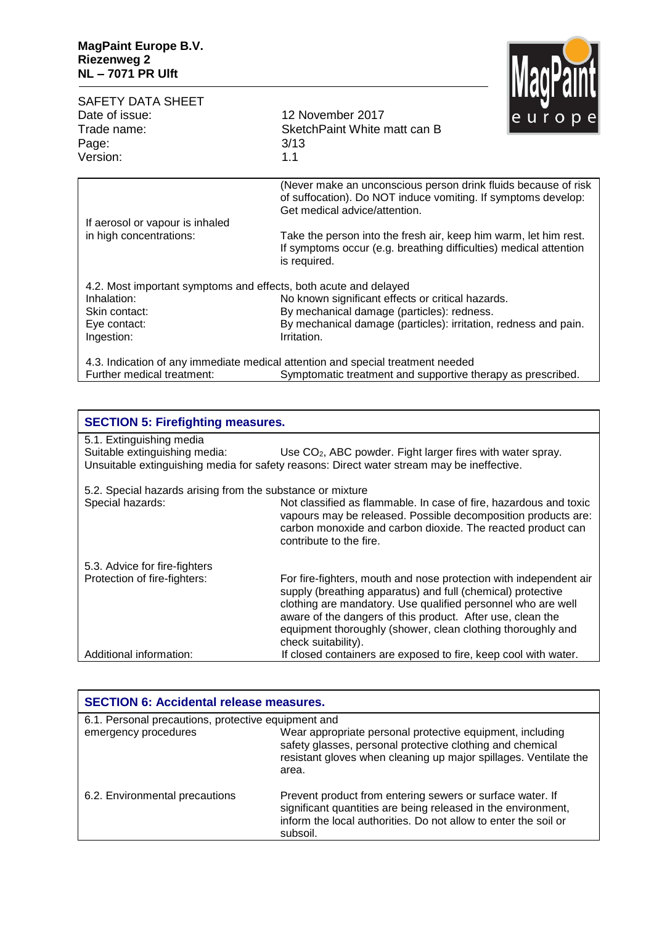

| <b>SAFETY DATA SHEET</b><br>Date of issue:<br>Trade name:        | 12 November 2017<br>SketchPaint White matt can B                                                                                                                 | <b>TRANT NITE</b><br>$e$ $u$ r $o$ $p$ $e$ |
|------------------------------------------------------------------|------------------------------------------------------------------------------------------------------------------------------------------------------------------|--------------------------------------------|
| Page:<br>Version:                                                | 3/13<br>1.1                                                                                                                                                      |                                            |
|                                                                  | (Never make an unconscious person drink fluids because of risk<br>of suffocation). Do NOT induce vomiting. If symptoms develop:<br>Get medical advice/attention. |                                            |
| If aerosol or vapour is inhaled                                  |                                                                                                                                                                  |                                            |
| in high concentrations:                                          | Take the person into the fresh air, keep him warm, let him rest.<br>If symptoms occur (e.g. breathing difficulties) medical attention<br>is required.            |                                            |
| 4.2. Most important symptoms and effects, both acute and delayed |                                                                                                                                                                  |                                            |
| Inhalation:                                                      | No known significant effects or critical hazards.                                                                                                                |                                            |
| Skin contact:                                                    | By mechanical damage (particles): redness.                                                                                                                       |                                            |
| Eye contact:                                                     | By mechanical damage (particles): irritation, redness and pain.                                                                                                  |                                            |
| Ingestion:                                                       | Irritation.                                                                                                                                                      |                                            |
|                                                                  | 4.3. Indication of any immediate medical attention and special treatment needed                                                                                  |                                            |
| Further medical treatment:                                       | Symptomatic treatment and supportive therapy as prescribed.                                                                                                      |                                            |

| <b>SECTION 5: Firefighting measures.</b>                   |                                                                                                                                                                                                                                                                                                                                                      |  |
|------------------------------------------------------------|------------------------------------------------------------------------------------------------------------------------------------------------------------------------------------------------------------------------------------------------------------------------------------------------------------------------------------------------------|--|
| 5.1. Extinguishing media<br>Suitable extinguishing media:  | Use CO <sub>2</sub> , ABC powder. Fight larger fires with water spray.                                                                                                                                                                                                                                                                               |  |
|                                                            | Unsuitable extinguishing media for safety reasons: Direct water stream may be ineffective.                                                                                                                                                                                                                                                           |  |
| 5.2. Special hazards arising from the substance or mixture |                                                                                                                                                                                                                                                                                                                                                      |  |
| Special hazards:                                           | Not classified as flammable. In case of fire, hazardous and toxic<br>vapours may be released. Possible decomposition products are:<br>carbon monoxide and carbon dioxide. The reacted product can<br>contribute to the fire.                                                                                                                         |  |
| 5.3. Advice for fire-fighters                              |                                                                                                                                                                                                                                                                                                                                                      |  |
| Protection of fire-fighters:                               | For fire-fighters, mouth and nose protection with independent air<br>supply (breathing apparatus) and full (chemical) protective<br>clothing are mandatory. Use qualified personnel who are well<br>aware of the dangers of this product. After use, clean the<br>equipment thoroughly (shower, clean clothing thoroughly and<br>check suitability). |  |
| Additional information:                                    | If closed containers are exposed to fire, keep cool with water.                                                                                                                                                                                                                                                                                      |  |

| <b>SECTION 6: Accidental release measures.</b>      |                                                                                                                                                                                                           |  |  |
|-----------------------------------------------------|-----------------------------------------------------------------------------------------------------------------------------------------------------------------------------------------------------------|--|--|
| 6.1. Personal precautions, protective equipment and |                                                                                                                                                                                                           |  |  |
| emergency procedures                                | Wear appropriate personal protective equipment, including<br>safety glasses, personal protective clothing and chemical<br>resistant gloves when cleaning up major spillages. Ventilate the<br>area.       |  |  |
| 6.2. Environmental precautions                      | Prevent product from entering sewers or surface water. If<br>significant quantities are being released in the environment,<br>inform the local authorities. Do not allow to enter the soil or<br>subsoil. |  |  |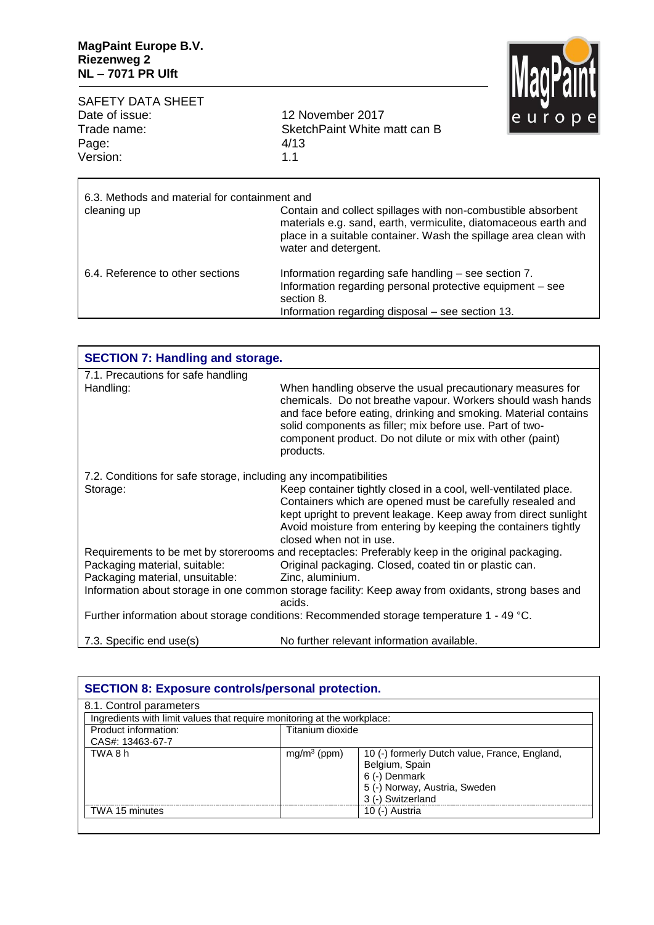

| Date of issue: | 12 November 2017             |  |
|----------------|------------------------------|--|
| Trade name:    | SketchPaint White matt can B |  |
| Page:          | 4/13                         |  |
| Version:       | 11                           |  |
|                |                              |  |

| 6.3. Methods and material for containment and<br>cleaning up | Contain and collect spillages with non-combustible absorbent<br>materials e.g. sand, earth, vermiculite, diatomaceous earth and<br>place in a suitable container. Wash the spillage area clean with<br>water and detergent. |
|--------------------------------------------------------------|-----------------------------------------------------------------------------------------------------------------------------------------------------------------------------------------------------------------------------|
| 6.4. Reference to other sections                             | Information regarding safe handling - see section 7.<br>Information regarding personal protective equipment - see<br>section 8.<br>Information regarding disposal – see section 13.                                         |

| <b>SECTION 7: Handling and storage.</b>                                                  |                                                                                                                                                                                                                                                                                                                                     |  |
|------------------------------------------------------------------------------------------|-------------------------------------------------------------------------------------------------------------------------------------------------------------------------------------------------------------------------------------------------------------------------------------------------------------------------------------|--|
| 7.1. Precautions for safe handling                                                       |                                                                                                                                                                                                                                                                                                                                     |  |
| Handling:                                                                                | When handling observe the usual precautionary measures for<br>chemicals. Do not breathe vapour. Workers should wash hands<br>and face before eating, drinking and smoking. Material contains<br>solid components as filler; mix before use. Part of two-<br>component product. Do not dilute or mix with other (paint)<br>products. |  |
| 7.2. Conditions for safe storage, including any incompatibilities                        |                                                                                                                                                                                                                                                                                                                                     |  |
| Storage:                                                                                 | Keep container tightly closed in a cool, well-ventilated place.<br>Containers which are opened must be carefully resealed and<br>kept upright to prevent leakage. Keep away from direct sunlight<br>Avoid moisture from entering by keeping the containers tightly<br>closed when not in use.                                       |  |
|                                                                                          | Requirements to be met by storerooms and receptacles: Preferably keep in the original packaging.                                                                                                                                                                                                                                    |  |
| Packaging material, suitable:<br>Packaging material, unsuitable:                         | Original packaging. Closed, coated tin or plastic can.<br>Zinc, aluminium.                                                                                                                                                                                                                                                          |  |
|                                                                                          | Information about storage in one common storage facility: Keep away from oxidants, strong bases and<br>acids.                                                                                                                                                                                                                       |  |
| Further information about storage conditions: Recommended storage temperature 1 - 49 °C. |                                                                                                                                                                                                                                                                                                                                     |  |
| 7.3. Specific end use(s)                                                                 | No further relevant information available.                                                                                                                                                                                                                                                                                          |  |

| <b>SECTION 8: Exposure controls/personal protection.</b>                |                  |                                               |  |
|-------------------------------------------------------------------------|------------------|-----------------------------------------------|--|
| 8.1. Control parameters                                                 |                  |                                               |  |
| Ingredients with limit values that require monitoring at the workplace: |                  |                                               |  |
| Product information:                                                    | Titanium dioxide |                                               |  |
| CAS#: 13463-67-7                                                        |                  |                                               |  |
| TWA 8 h                                                                 | $mq/m^3$ (ppm)   | 10 (-) formerly Dutch value, France, England, |  |
|                                                                         |                  | Belgium, Spain                                |  |
|                                                                         |                  | 6 (-) Denmark                                 |  |
|                                                                         |                  | 5 (-) Norway, Austria, Sweden                 |  |
|                                                                         |                  | 3 (-) Switzerland                             |  |
| TWA 15 minutes                                                          |                  | 10 (-) Austria                                |  |
|                                                                         |                  |                                               |  |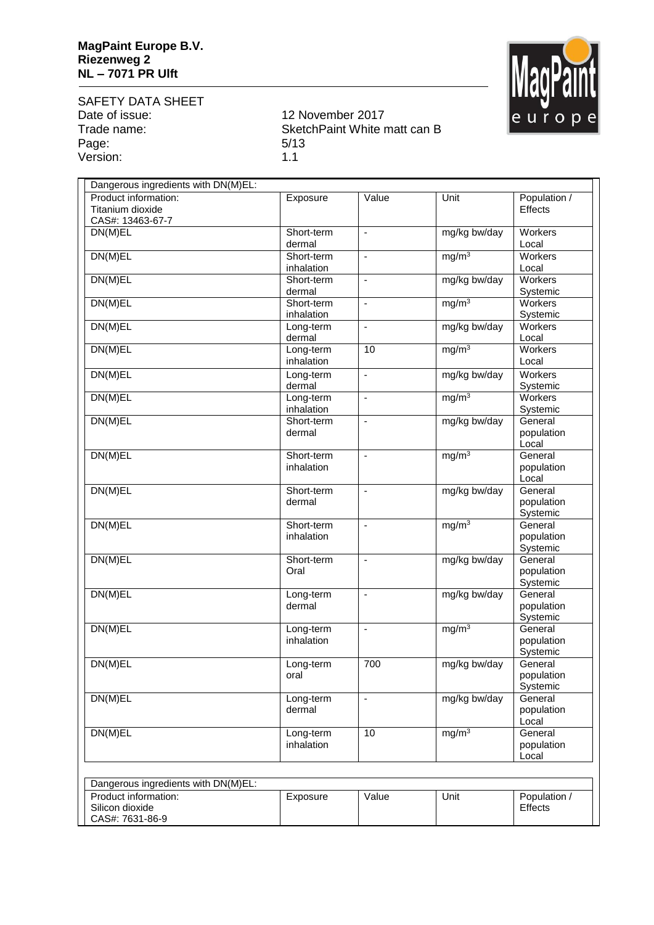

SAFETY DATA SHEET<br>Date of issue: Date of issue: 12 November 2017<br>Trade name: 5 SketchPaint White r Page: 5/13

CAS#: 7631-86-9

SketchPaint White matt can B version: 1.1

| Dangerous ingredients with DN(M)EL:                          |                          |                          |                   |                                   |
|--------------------------------------------------------------|--------------------------|--------------------------|-------------------|-----------------------------------|
| Product information:<br>Titanium dioxide<br>CAS#: 13463-67-7 | Exposure                 | Value                    | Unit              | Population /<br>Effects           |
| DN(M)EL                                                      | Short-term<br>dermal     | $\blacksquare$           | mg/kg bw/day      | Workers<br>Local                  |
| DN(M)EL                                                      | Short-term<br>inhalation | ÷,                       | mg/m <sup>3</sup> | <b>Workers</b><br>Local           |
| DN(M)EL                                                      | Short-term<br>dermal     | L,                       | mg/kg bw/day      | <b>Workers</b><br>Systemic        |
| DN(M)EL                                                      | Short-term<br>inhalation | $\blacksquare$           | mg/m <sup>3</sup> | <b>Workers</b><br>Systemic        |
| DN(M)EL                                                      | Long-term<br>dermal      | ÷,                       | mg/kg bw/day      | Workers<br>Local                  |
| DN(M)EL                                                      | Long-term<br>inhalation  | 10                       | mg/m <sup>3</sup> | <b>Workers</b><br>Local           |
| DN(M)EL                                                      | Long-term<br>dermal      | $\blacksquare$           | mg/kg bw/day      | Workers<br>Systemic               |
| DN(M)EL                                                      | Long-term<br>inhalation  | ÷,                       | mg/m <sup>3</sup> | Workers<br>Systemic               |
| DN(M)EL                                                      | Short-term<br>dermal     | ä,                       | mg/kg bw/day      | General<br>population<br>Local    |
| DN(M)EL                                                      | Short-term<br>inhalation | $\blacksquare$           | mg/m <sup>3</sup> | General<br>population<br>Local    |
| DN(M)EL                                                      | Short-term<br>dermal     | ä,                       | mg/kg bw/day      | General<br>population<br>Systemic |
| DN(M)EL                                                      | Short-term<br>inhalation | ä,                       | mg/m <sup>3</sup> | General<br>population<br>Systemic |
| DN(M)EL                                                      | Short-term<br>Oral       | $\blacksquare$           | mg/kg bw/day      | General<br>population<br>Systemic |
| DN(M)EL                                                      | Long-term<br>dermal      | $\blacksquare$           | mg/kg bw/day      | General<br>population<br>Systemic |
| DN(M)EL                                                      | Long-term<br>inhalation  | $\overline{\phantom{a}}$ | mg/m <sup>3</sup> | General<br>population<br>Systemic |
| DN(M)EL                                                      | Long-term<br>oral        | 700                      | mg/kg bw/day      | General<br>population<br>Systemic |
| DN(M)EL                                                      | Long-term<br>dermal      | $\blacksquare$           | mg/kg bw/day      | General<br>population<br>Local    |
| DN(M)EL                                                      | Long-term<br>inhalation  | 10                       | mg/m <sup>3</sup> | General<br>population<br>Local    |
| Dangerous ingredients with DN(M)EL:                          |                          |                          |                   |                                   |
| Product information:<br>Silicon dioxide                      | Exposure                 | Value                    | Unit              | Population /<br>Effects           |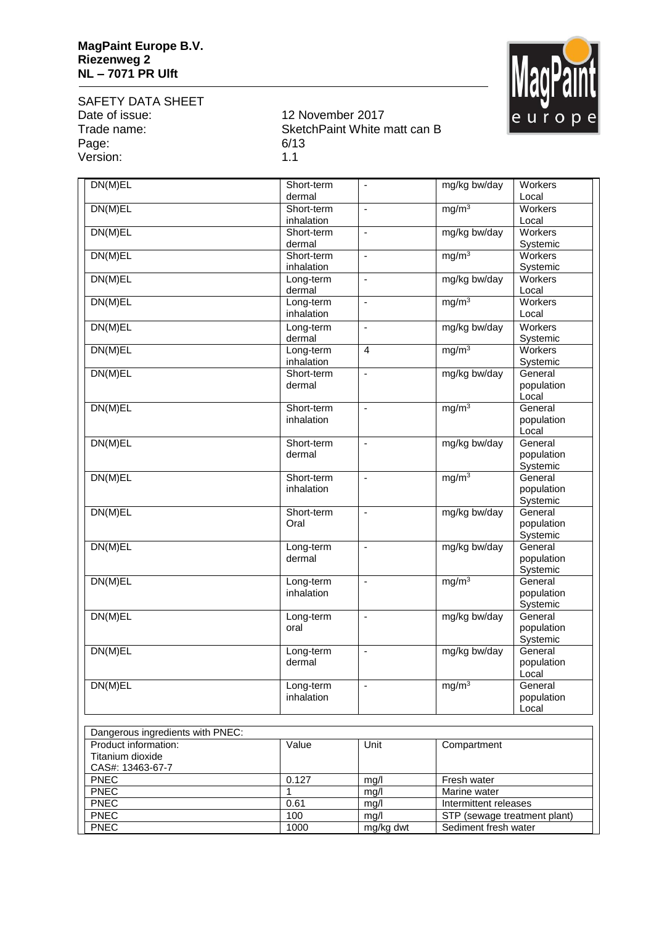

SAFETY DATA SHEET<br>Date of issue: Date of issue: 12 November 2017<br>Trade name: 5 SketchPaint White r Page: 6/13<br>Version: 6/13 Version:

## SketchPaint White matt can B<br>6/13

| DN(M)EL                              | Short-term          | ÷,                           | mg/kg bw/day                 | Workers             |
|--------------------------------------|---------------------|------------------------------|------------------------------|---------------------|
|                                      | dermal              |                              |                              | Local               |
| DN(M)EL                              | Short-term          | $\blacksquare$               | mg/m <sup>3</sup>            | Workers             |
|                                      | inhalation          |                              |                              | Local               |
| DN(M)EL                              | Short-term          | $\overline{\phantom{a}}$     | mg/kg bw/day                 | <b>Workers</b>      |
|                                      | dermal              |                              |                              | Systemic            |
| DN(M)EL                              | Short-term          | ÷,                           | mg/m <sup>3</sup>            | Workers             |
|                                      | inhalation          | ÷,                           |                              | Systemic<br>Workers |
| DN(M)EL                              | Long-term<br>dermal |                              | mg/kg bw/day                 | Local               |
| DN(M)EL                              | Long-term           | $\overline{\phantom{a}}$     | mg/m <sup>3</sup>            | Workers             |
|                                      | inhalation          |                              |                              | Local               |
| DN(M)EL                              | Long-term           | ÷,                           | mg/kg bw/day                 | Workers             |
|                                      | dermal              |                              |                              | Systemic            |
| DN(M)EL                              | Long-term           | $\overline{4}$               | mg/m <sup>3</sup>            | Workers             |
|                                      | inhalation          |                              |                              | Systemic            |
| DN(M)EL                              | Short-term          | $\qquad \qquad \blacksquare$ | mg/kg bw/day                 | General             |
|                                      | dermal              |                              |                              | population          |
|                                      |                     |                              |                              | Local               |
| DN(M)EL                              | Short-term          | $\blacksquare$               | mg/m <sup>3</sup>            | General             |
|                                      | inhalation          |                              |                              | population          |
|                                      |                     |                              |                              | Local               |
| DN(M)EL                              | Short-term          | $\overline{\phantom{a}}$     | mg/kg bw/day                 | General             |
|                                      | dermal              |                              |                              | population          |
| DN(M)EL                              | Short-term          | ÷,                           | mg/m <sup>3</sup>            | Systemic<br>General |
|                                      | inhalation          |                              |                              | population          |
|                                      |                     |                              |                              | Systemic            |
| DN(M)EL                              | Short-term          | $\blacksquare$               | mg/kg bw/day                 | General             |
|                                      | Oral                |                              |                              | population          |
|                                      |                     |                              |                              | Systemic            |
| DN(M)EL                              | Long-term           | $\blacksquare$               | mg/kg bw/day                 | General             |
|                                      | dermal              |                              |                              | population          |
|                                      |                     |                              |                              | Systemic            |
| DN(M)EL                              | Long-term           | $\overline{\phantom{a}}$     | mg/m <sup>3</sup>            | General             |
|                                      | inhalation          |                              |                              | population          |
| DN(M)EL                              |                     | ÷,                           | mg/kg bw/day                 | Systemic<br>General |
|                                      | Long-term<br>oral   |                              |                              | population          |
|                                      |                     |                              |                              | Systemic            |
| DN(M)EL                              | Long-term           | $\qquad \qquad \blacksquare$ | mg/kg bw/day                 | General             |
|                                      | dermal              |                              |                              | population          |
|                                      |                     |                              |                              | Local               |
| DN(M)EL                              | Long-term           | $\blacksquare$               | mg/m <sup>3</sup>            | General             |
|                                      | inhalation          |                              |                              | population          |
|                                      |                     |                              |                              | Local               |
|                                      |                     |                              |                              |                     |
| Dangerous ingredients with PNEC:     |                     |                              |                              |                     |
| Product information:                 | Value               | Unit                         | Compartment                  |                     |
| Titanium dioxide<br>CAS#: 13463-67-7 |                     |                              |                              |                     |
| <b>PNEC</b>                          | 0.127               | mg/l                         | Fresh water                  |                     |
| <b>PNEC</b>                          | 1                   | mg/l                         | Marine water                 |                     |
| <b>PNEC</b>                          | 0.61                | mg/l                         | Intermittent releases        |                     |
| <b>PNEC</b>                          | 100                 | mg/l                         | STP (sewage treatment plant) |                     |
| PNEC                                 | 1000                | mg/kg dwt                    | Sediment fresh water         |                     |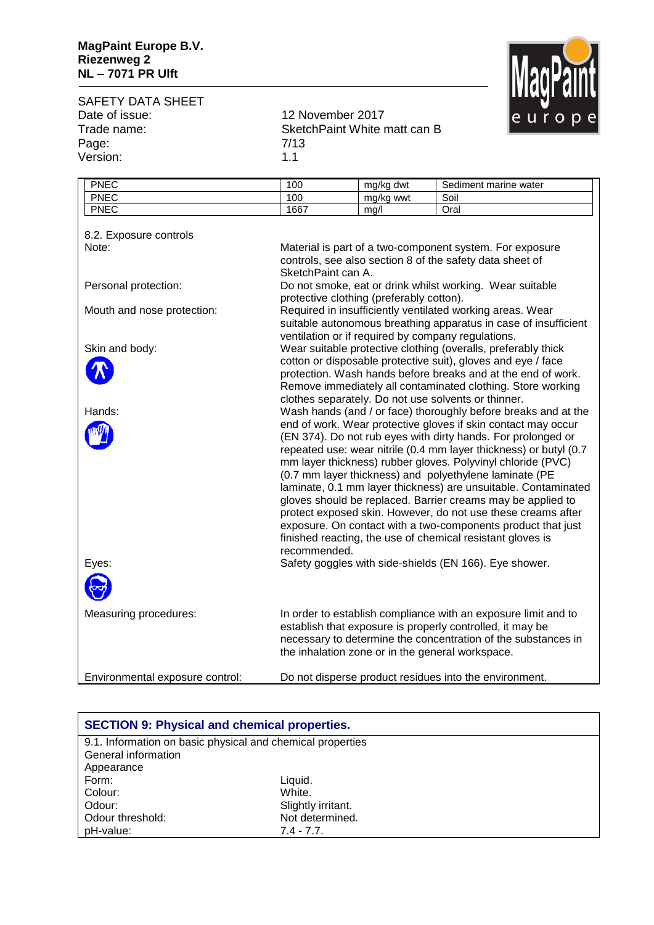

SAFETY DATA SHEET<br>Date of issue: Date of issue: 12 November 2017<br>Trade name: 5 SketchPaint White r Page: 7/13<br>Version: 7/13 Version:

SketchPaint White matt can B<br>7/13

| <b>PNEC</b>                     | 100                                                                                                                                                                                                                                                                                                                                                                                         | mg/kg dwt                                | Sediment marine water                                           |
|---------------------------------|---------------------------------------------------------------------------------------------------------------------------------------------------------------------------------------------------------------------------------------------------------------------------------------------------------------------------------------------------------------------------------------------|------------------------------------------|-----------------------------------------------------------------|
| <b>PNEC</b>                     | 100                                                                                                                                                                                                                                                                                                                                                                                         | mg/kg wwt                                | Soil                                                            |
| <b>PNEC</b>                     | 1667                                                                                                                                                                                                                                                                                                                                                                                        | mg/l                                     | Oral                                                            |
| 8.2. Exposure controls          |                                                                                                                                                                                                                                                                                                                                                                                             |                                          |                                                                 |
| Note:                           | Material is part of a two-component system. For exposure                                                                                                                                                                                                                                                                                                                                    |                                          |                                                                 |
|                                 | controls, see also section 8 of the safety data sheet of                                                                                                                                                                                                                                                                                                                                    |                                          |                                                                 |
|                                 | SketchPaint can A.                                                                                                                                                                                                                                                                                                                                                                          |                                          |                                                                 |
| Personal protection:            |                                                                                                                                                                                                                                                                                                                                                                                             |                                          | Do not smoke, eat or drink whilst working. Wear suitable        |
|                                 |                                                                                                                                                                                                                                                                                                                                                                                             | protective clothing (preferably cotton). |                                                                 |
| Mouth and nose protection:      |                                                                                                                                                                                                                                                                                                                                                                                             |                                          | Required in insufficiently ventilated working areas. Wear       |
|                                 |                                                                                                                                                                                                                                                                                                                                                                                             |                                          | suitable autonomous breathing apparatus in case of insufficient |
|                                 |                                                                                                                                                                                                                                                                                                                                                                                             |                                          | ventilation or if required by company regulations.              |
| Skin and body:                  |                                                                                                                                                                                                                                                                                                                                                                                             |                                          | Wear suitable protective clothing (overalls, preferably thick   |
|                                 |                                                                                                                                                                                                                                                                                                                                                                                             |                                          | cotton or disposable protective suit), gloves and eye / face    |
|                                 |                                                                                                                                                                                                                                                                                                                                                                                             |                                          | protection. Wash hands before breaks and at the end of work.    |
|                                 |                                                                                                                                                                                                                                                                                                                                                                                             |                                          | Remove immediately all contaminated clothing. Store working     |
|                                 |                                                                                                                                                                                                                                                                                                                                                                                             |                                          | clothes separately. Do not use solvents or thinner.             |
| Hands:                          |                                                                                                                                                                                                                                                                                                                                                                                             |                                          | Wash hands (and / or face) thoroughly before breaks and at the  |
|                                 |                                                                                                                                                                                                                                                                                                                                                                                             |                                          | end of work. Wear protective gloves if skin contact may occur   |
|                                 |                                                                                                                                                                                                                                                                                                                                                                                             |                                          | (EN 374). Do not rub eyes with dirty hands. For prolonged or    |
|                                 | repeated use: wear nitrile (0.4 mm layer thickness) or butyl (0.7<br>mm layer thickness) rubber gloves. Polyvinyl chloride (PVC)<br>(0.7 mm layer thickness) and polyethylene laminate (PE<br>laminate, 0.1 mm layer thickness) are unsuitable. Contaminated<br>gloves should be replaced. Barrier creams may be applied to<br>protect exposed skin. However, do not use these creams after |                                          |                                                                 |
|                                 |                                                                                                                                                                                                                                                                                                                                                                                             |                                          |                                                                 |
|                                 |                                                                                                                                                                                                                                                                                                                                                                                             |                                          |                                                                 |
|                                 |                                                                                                                                                                                                                                                                                                                                                                                             |                                          |                                                                 |
|                                 |                                                                                                                                                                                                                                                                                                                                                                                             |                                          |                                                                 |
|                                 |                                                                                                                                                                                                                                                                                                                                                                                             |                                          |                                                                 |
|                                 |                                                                                                                                                                                                                                                                                                                                                                                             |                                          | exposure. On contact with a two-components product that just    |
|                                 |                                                                                                                                                                                                                                                                                                                                                                                             |                                          | finished reacting, the use of chemical resistant gloves is      |
|                                 | recommended.                                                                                                                                                                                                                                                                                                                                                                                |                                          |                                                                 |
| Eyes:                           |                                                                                                                                                                                                                                                                                                                                                                                             |                                          | Safety goggles with side-shields (EN 166). Eye shower.          |
|                                 |                                                                                                                                                                                                                                                                                                                                                                                             |                                          |                                                                 |
| Measuring procedures:           |                                                                                                                                                                                                                                                                                                                                                                                             |                                          | In order to establish compliance with an exposure limit and to  |
|                                 |                                                                                                                                                                                                                                                                                                                                                                                             |                                          | establish that exposure is properly controlled, it may be       |
|                                 |                                                                                                                                                                                                                                                                                                                                                                                             |                                          | necessary to determine the concentration of the substances in   |
|                                 |                                                                                                                                                                                                                                                                                                                                                                                             |                                          | the inhalation zone or in the general workspace.                |
|                                 |                                                                                                                                                                                                                                                                                                                                                                                             |                                          |                                                                 |
| Environmental exposure control: |                                                                                                                                                                                                                                                                                                                                                                                             |                                          | Do not disperse product residues into the environment.          |

| <b>SECTION 9: Physical and chemical properties.</b>        |                    |  |
|------------------------------------------------------------|--------------------|--|
| 9.1. Information on basic physical and chemical properties |                    |  |
| General information                                        |                    |  |
| Appearance                                                 |                    |  |
| Form:                                                      | Liquid.            |  |
| Colour:                                                    | White.             |  |
| Odour:                                                     | Slightly irritant. |  |
| Odour threshold:                                           | Not determined.    |  |
| pH-value:                                                  | $7.4 - 7.7$ .      |  |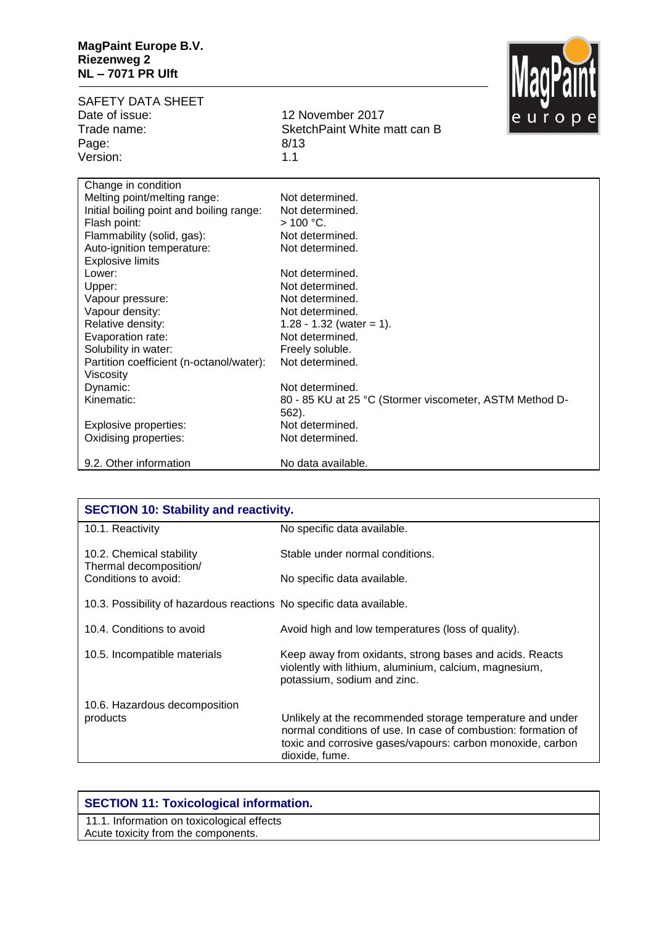

| <b>SAFETY DATA SHEET</b><br>Date of issue:<br>Trade name:<br>Page:<br>Version: | <u>IIINAI AIII</u><br>12 November 2017<br>europe<br>SketchPaint White matt can B<br>8/13<br>1.1 |
|--------------------------------------------------------------------------------|-------------------------------------------------------------------------------------------------|
| Change in condition                                                            |                                                                                                 |
| Melting point/melting range:                                                   | Not determined.                                                                                 |
| Initial boiling point and boiling range:                                       | Not determined.                                                                                 |
| Flash point:                                                                   | $> 100 °C$ .                                                                                    |
| Flammability (solid, gas):                                                     | Not determined.                                                                                 |
| Auto-ignition temperature:                                                     | Not determined.                                                                                 |
| <b>Explosive limits</b>                                                        |                                                                                                 |
| Lower:                                                                         | Not determined.                                                                                 |
| Upper:                                                                         | Not determined.                                                                                 |
| Vapour pressure:                                                               | Not determined.                                                                                 |
| Vapour density:                                                                | Not determined.                                                                                 |
| Relative density:                                                              | 1.28 - 1.32 (water = 1).                                                                        |
| Evaporation rate:                                                              | Not determined.                                                                                 |
| Solubility in water:                                                           | Freely soluble.                                                                                 |
| Partition coefficient (n-octanol/water):<br>Viscosity                          | Not determined.                                                                                 |
| Dynamic:                                                                       | Not determined.                                                                                 |
| Kinematic:                                                                     | 80 - 85 KU at 25 °C (Stormer viscometer, ASTM Method D-<br>$562$ ).                             |
| Explosive properties:                                                          | Not determined.                                                                                 |
| Oxidising properties:                                                          | Not determined.                                                                                 |
| 9.2. Other information                                                         | No data available.                                                                              |

| <b>SECTION 10: Stability and reactivity.</b>                         |                                                                                                                                                                                                            |  |
|----------------------------------------------------------------------|------------------------------------------------------------------------------------------------------------------------------------------------------------------------------------------------------------|--|
| 10.1. Reactivity                                                     | No specific data available.                                                                                                                                                                                |  |
| 10.2. Chemical stability<br>Thermal decomposition/                   | Stable under normal conditions.                                                                                                                                                                            |  |
| Conditions to avoid:                                                 | No specific data available.                                                                                                                                                                                |  |
| 10.3. Possibility of hazardous reactions No specific data available. |                                                                                                                                                                                                            |  |
| 10.4. Conditions to avoid                                            | Avoid high and low temperatures (loss of quality).                                                                                                                                                         |  |
| 10.5. Incompatible materials                                         | Keep away from oxidants, strong bases and acids. Reacts<br>violently with lithium, aluminium, calcium, magnesium,<br>potassium, sodium and zinc.                                                           |  |
| 10.6. Hazardous decomposition                                        |                                                                                                                                                                                                            |  |
| products                                                             | Unlikely at the recommended storage temperature and under<br>normal conditions of use. In case of combustion: formation of<br>toxic and corrosive gases/vapours: carbon monoxide, carbon<br>dioxide, fume. |  |

## **SECTION 11: Toxicological information.**

11.1. Information on toxicological effects Acute toxicity from the components.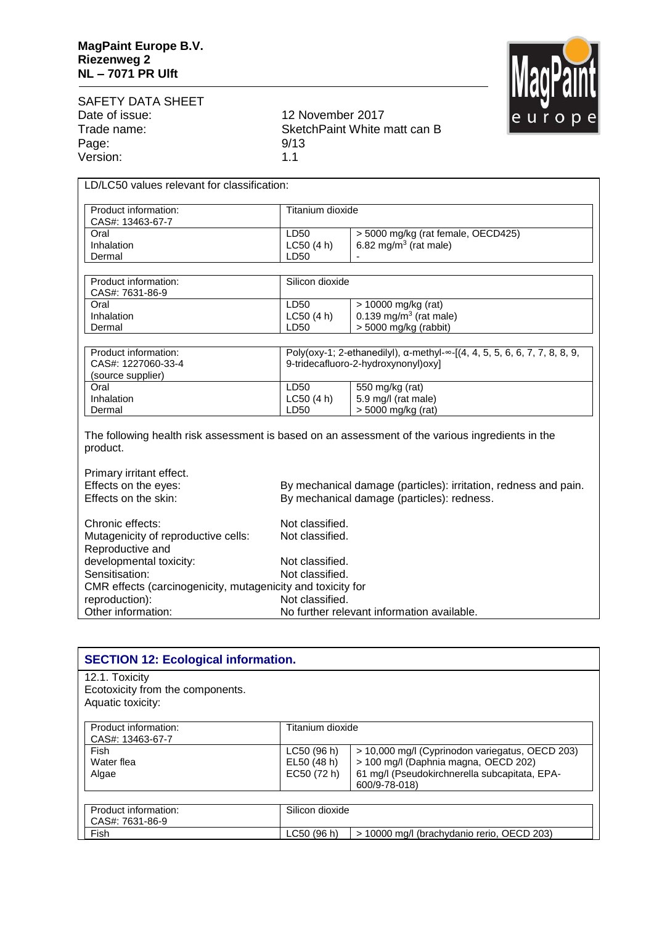

| SAFETY DATA SHEET |     |
|-------------------|-----|
| Date of issue:    | 12. |
| Trade name:       | .Sk |
| Page:             | 9/1 |
| Version:          | 1.1 |

12 November 2017 SketchPaint White matt can B  $9/13$ <br> $1.1$ 

| LD/LC50 values relevant for classification:                                                                                                                                               |                           |                                                                                                                                   |  |
|-------------------------------------------------------------------------------------------------------------------------------------------------------------------------------------------|---------------------------|-----------------------------------------------------------------------------------------------------------------------------------|--|
| Product information:<br>CAS#: 13463-67-7                                                                                                                                                  | Titanium dioxide          |                                                                                                                                   |  |
| Oral<br>Inhalation<br>Dermal                                                                                                                                                              | LD50<br>LC50(4 h)<br>LD50 | > 5000 mg/kg (rat female, OECD425)<br>6.82 mg/m <sup>3</sup> (rat male)                                                           |  |
| Product information:<br>CAS#: 7631-86-9                                                                                                                                                   | Silicon dioxide           |                                                                                                                                   |  |
| Oral<br>Inhalation<br>Dermal                                                                                                                                                              | LD50<br>LC50(4 h)<br>LD50 | > 10000 mg/kg (rat)<br>0.139 mg/m <sup>3</sup> (rat male)<br>> 5000 mg/kg (rabbit)                                                |  |
| Product information:<br>CAS#: 1227060-33-4<br>(source supplier)                                                                                                                           |                           | Poly(oxy-1; 2-ethanedilyl), $\alpha$ -methyl- $\infty$ -[(4, 4, 5, 5, 6, 6, 7, 7, 8, 8, 9,<br>9-tridecafluoro-2-hydroxynonyl)oxy] |  |
| Oral<br>Inhalation<br>Dermal                                                                                                                                                              | LD50<br>LC50(4 h)<br>LD50 | 550 mg/kg (rat)<br>5.9 mg/l (rat male)<br>> 5000 mg/kg (rat)                                                                      |  |
| The following health risk assessment is based on an assessment of the various ingredients in the<br>product.                                                                              |                           |                                                                                                                                   |  |
| Primary irritant effect.<br>Effects on the eyes:<br>By mechanical damage (particles): irritation, redness and pain.<br>Effects on the skin:<br>By mechanical damage (particles): redness. |                           |                                                                                                                                   |  |

| Chronic effects:                                            | Not classified.                            |
|-------------------------------------------------------------|--------------------------------------------|
| Mutagenicity of reproductive cells:                         | Not classified.                            |
| Reproductive and                                            |                                            |
| developmental toxicity:                                     | Not classified.                            |
| Sensitisation:                                              | Not classified.                            |
| CMR effects (carcinogenicity, mutagenicity and toxicity for |                                            |
| reproduction):                                              | Not classified.                            |
| Other information:                                          | No further relevant information available. |

| <b>SECTION 12: Ecological information.</b>                              |                                           |                                                                                                                                                           |
|-------------------------------------------------------------------------|-------------------------------------------|-----------------------------------------------------------------------------------------------------------------------------------------------------------|
| 12.1. Toxicity<br>Ecotoxicity from the components.<br>Aquatic toxicity: |                                           |                                                                                                                                                           |
| Product information:<br>CAS#: 13463-67-7                                | Titanium dioxide                          |                                                                                                                                                           |
| Fish<br>Water flea<br>Algae                                             | LC50 (96 h)<br>EL50 (48 h)<br>EC50 (72 h) | > 10,000 mg/l (Cyprinodon variegatus, OECD 203)<br>> 100 mg/l (Daphnia magna, OECD 202)<br>61 mg/l (Pseudokirchnerella subcapitata, EPA-<br>600/9-78-018) |
| Product information:<br>CAS#: 7631-86-9                                 | Silicon dioxide                           |                                                                                                                                                           |
| Fish                                                                    | LC50(96 h)                                | > 10000 mg/l (brachydanio rerio, OECD 203)                                                                                                                |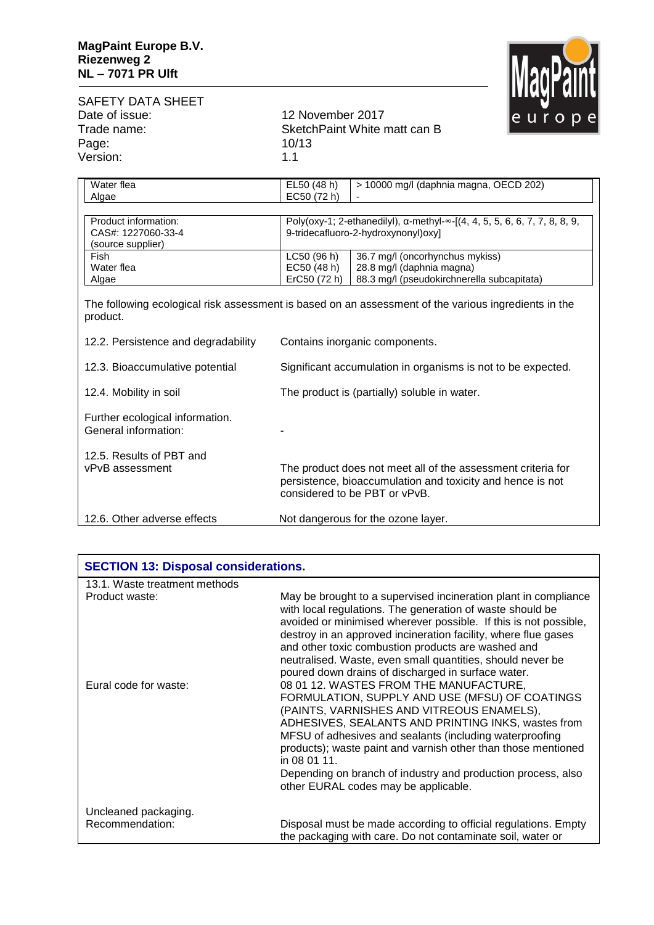

| SAFETY DATA SHEET |           |
|-------------------|-----------|
| Date of issue:    | 12.       |
| Trade name:       | <b>Sk</b> |
| Page:             | 10/       |
| Version:          | 1.1       |

12 November 2017 SketchPaint White matt can B 10/13<br>1.1

| Water flea                                              | EL50 (48 h)                                                               | > 10000 mg/l (daphnia magna, OECD 202)                                                                                                                      |  |
|---------------------------------------------------------|---------------------------------------------------------------------------|-------------------------------------------------------------------------------------------------------------------------------------------------------------|--|
| Algae                                                   | EC50 (72 h)                                                               |                                                                                                                                                             |  |
|                                                         |                                                                           |                                                                                                                                                             |  |
| Product information:                                    | Poly(oxy-1; 2-ethanedilyl), a-methyl-∞-[(4, 4, 5, 5, 6, 6, 7, 7, 8, 8, 9, |                                                                                                                                                             |  |
| CAS#: 1227060-33-4                                      | 9-tridecafluoro-2-hydroxynonyl)oxy]                                       |                                                                                                                                                             |  |
| (source supplier)                                       |                                                                           |                                                                                                                                                             |  |
| Fish                                                    | LC50 (96 h)                                                               | 36.7 mg/l (oncorhynchus mykiss)                                                                                                                             |  |
| Water flea                                              | EC50 (48 h)                                                               | 28.8 mg/l (daphnia magna)                                                                                                                                   |  |
| Algae                                                   | ErC50 (72 h)                                                              | 88.3 mg/l (pseudokirchnerella subcapitata)                                                                                                                  |  |
| product.                                                |                                                                           | The following ecological risk assessment is based on an assessment of the various ingredients in the                                                        |  |
| 12.2. Persistence and degradability                     | Contains inorganic components.                                            |                                                                                                                                                             |  |
| 12.3. Bioaccumulative potential                         | Significant accumulation in organisms is not to be expected.              |                                                                                                                                                             |  |
| 12.4. Mobility in soil                                  | The product is (partially) soluble in water.                              |                                                                                                                                                             |  |
| Further ecological information.<br>General information: |                                                                           |                                                                                                                                                             |  |
| 12.5. Results of PBT and<br>vPvB assessment             |                                                                           | The product does not meet all of the assessment criteria for<br>persistence, bioaccumulation and toxicity and hence is not<br>considered to be PBT or vPvB. |  |
| 12.6. Other adverse effects                             |                                                                           | Not dangerous for the ozone layer.                                                                                                                          |  |

| <b>SECTION 13: Disposal considerations.</b> |                                                                                                                                                                                                                                                                                                                                                                                                                                                 |
|---------------------------------------------|-------------------------------------------------------------------------------------------------------------------------------------------------------------------------------------------------------------------------------------------------------------------------------------------------------------------------------------------------------------------------------------------------------------------------------------------------|
| 13.1. Waste treatment methods               |                                                                                                                                                                                                                                                                                                                                                                                                                                                 |
| Product waste:                              | May be brought to a supervised incineration plant in compliance<br>with local regulations. The generation of waste should be<br>avoided or minimised wherever possible. If this is not possible,<br>destroy in an approved incineration facility, where flue gases<br>and other toxic combustion products are washed and<br>neutralised. Waste, even small quantities, should never be<br>poured down drains of discharged in surface water.    |
| Eural code for waste:                       | 08 01 12. WASTES FROM THE MANUFACTURE,<br>FORMULATION, SUPPLY AND USE (MFSU) OF COATINGS<br>(PAINTS, VARNISHES AND VITREOUS ENAMELS),<br>ADHESIVES, SEALANTS AND PRINTING INKS, wastes from<br>MFSU of adhesives and sealants (including waterproofing<br>products); waste paint and varnish other than those mentioned<br>in 08 01 11.<br>Depending on branch of industry and production process, also<br>other EURAL codes may be applicable. |
| Uncleaned packaging.                        |                                                                                                                                                                                                                                                                                                                                                                                                                                                 |
| Recommendation:                             | Disposal must be made according to official regulations. Empty<br>the packaging with care. Do not contaminate soil, water or                                                                                                                                                                                                                                                                                                                    |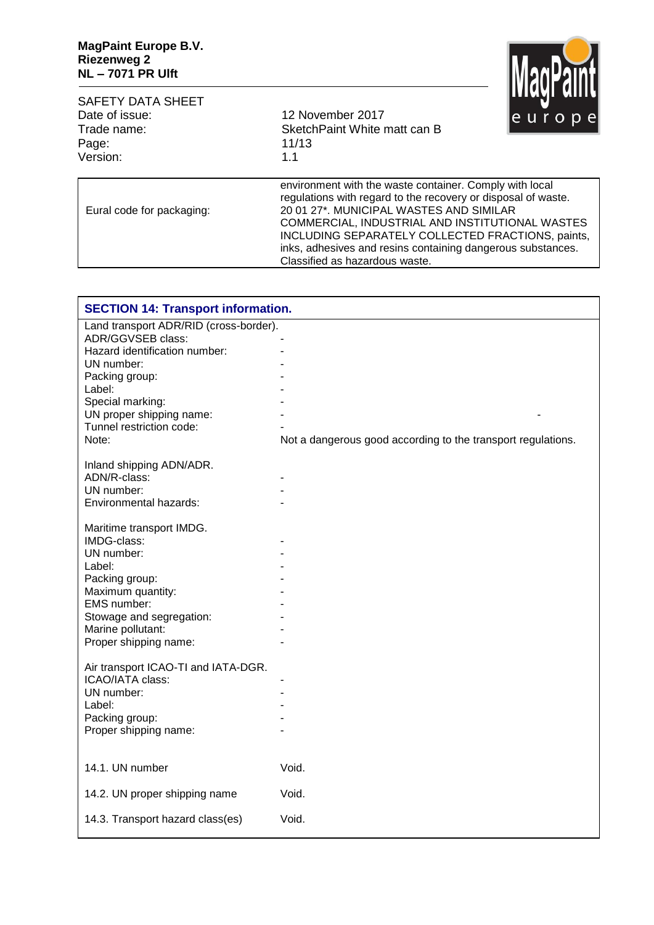

| <b>SAFETY DATA SHEET</b><br>Date of issue:<br>Trade name:<br>Page:<br>Version: | 12 November 2017<br>SketchPaint White matt can B<br>11/13<br>1.1                                                                                                                                                                                                                                                                                                             | le u r o p e |
|--------------------------------------------------------------------------------|------------------------------------------------------------------------------------------------------------------------------------------------------------------------------------------------------------------------------------------------------------------------------------------------------------------------------------------------------------------------------|--------------|
| Eural code for packaging:                                                      | environment with the waste container. Comply with local<br>regulations with regard to the recovery or disposal of waste.<br>20 01 27*, MUNICIPAL WASTES AND SIMILAR<br>COMMERCIAL, INDUSTRIAL AND INSTITUTIONAL WASTES<br>INCLUDING SEPARATELY COLLECTED FRACTIONS, paints,<br>inks, adhesives and resins containing dangerous substances.<br>Classified as hazardous waste. |              |

| <b>SECTION 14: Transport information.</b> |                                                              |
|-------------------------------------------|--------------------------------------------------------------|
| Land transport ADR/RID (cross-border).    |                                                              |
| ADR/GGVSEB class:                         |                                                              |
| Hazard identification number:             |                                                              |
| UN number:                                |                                                              |
| Packing group:                            |                                                              |
| Label:                                    |                                                              |
| Special marking:                          |                                                              |
| UN proper shipping name:                  |                                                              |
| Tunnel restriction code:                  |                                                              |
| Note:                                     | Not a dangerous good according to the transport regulations. |
| Inland shipping ADN/ADR.                  |                                                              |
| ADN/R-class:                              |                                                              |
| UN number:                                |                                                              |
| Environmental hazards:                    |                                                              |
| Maritime transport IMDG.                  |                                                              |
| IMDG-class:                               |                                                              |
| UN number:                                |                                                              |
| Label:                                    |                                                              |
| Packing group:                            |                                                              |
| Maximum quantity:                         |                                                              |
| EMS number:                               |                                                              |
| Stowage and segregation:                  |                                                              |
| Marine pollutant:                         |                                                              |
| Proper shipping name:                     |                                                              |
| Air transport ICAO-TI and IATA-DGR.       |                                                              |
| ICAO/IATA class:                          |                                                              |
| UN number:                                |                                                              |
| Label:                                    |                                                              |
| Packing group:                            |                                                              |
| Proper shipping name:                     |                                                              |
|                                           |                                                              |
| 14.1. UN number                           | Void.                                                        |
| 14.2. UN proper shipping name             | Void.                                                        |
| 14.3. Transport hazard class(es)          | Void.                                                        |
|                                           |                                                              |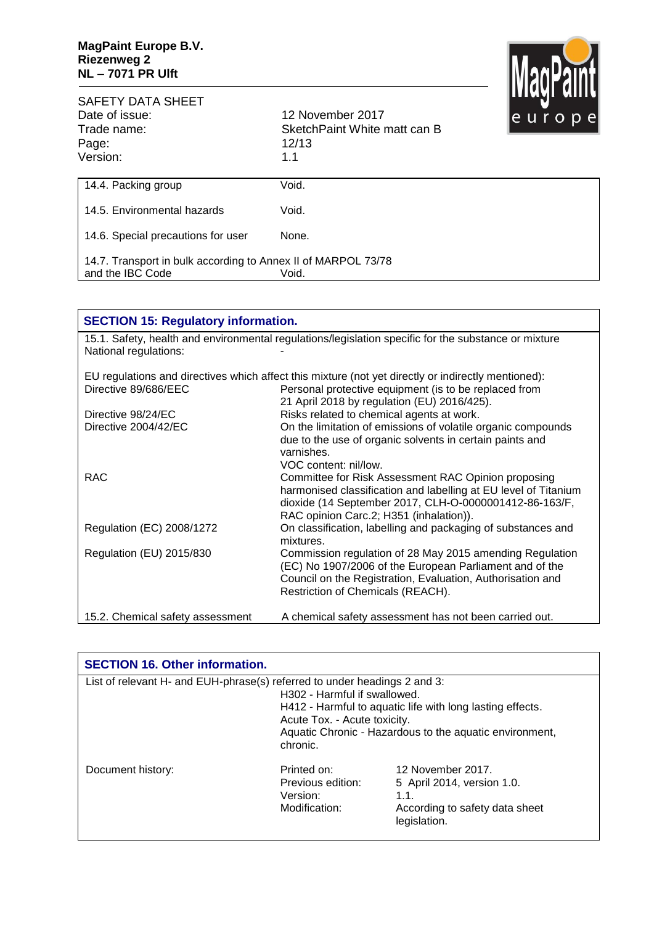

| <b>SAFETY DATA SHEET</b><br>Date of issue:<br>Trade name:<br>Page:<br>Version:    | 12 November 2017<br>SketchPaint White matt can B<br>12/13<br>1.1 | <u>IIIIMAI MIIII</u><br>le u r o p el |
|-----------------------------------------------------------------------------------|------------------------------------------------------------------|---------------------------------------|
| 14.4. Packing group                                                               | Void.                                                            |                                       |
| 14.5. Environmental hazards                                                       | Void.                                                            |                                       |
| 14.6. Special precautions for user                                                | None.                                                            |                                       |
| 14.7. Transport in bulk according to Annex II of MARPOL 73/78<br>and the IBC Code | Void.                                                            |                                       |

| <b>SECTION 15: Regulatory information.</b> |                                                                                                                                                                                                                             |  |
|--------------------------------------------|-----------------------------------------------------------------------------------------------------------------------------------------------------------------------------------------------------------------------------|--|
| National regulations:                      | 15.1. Safety, health and environmental regulations/legislation specific for the substance or mixture                                                                                                                        |  |
|                                            | EU regulations and directives which affect this mixture (not yet directly or indirectly mentioned):                                                                                                                         |  |
| Directive 89/686/EEC                       | Personal protective equipment (is to be replaced from<br>21 April 2018 by regulation (EU) 2016/425).                                                                                                                        |  |
| Directive 98/24/EC                         | Risks related to chemical agents at work.                                                                                                                                                                                   |  |
| Directive 2004/42/EC                       | On the limitation of emissions of volatile organic compounds                                                                                                                                                                |  |
|                                            | due to the use of organic solvents in certain paints and<br>varnishes.<br>VOC content: nil/low.                                                                                                                             |  |
| <b>RAC</b>                                 | Committee for Risk Assessment RAC Opinion proposing<br>harmonised classification and labelling at EU level of Titanium<br>dioxide (14 September 2017, CLH-O-0000001412-86-163/F,<br>RAC opinion Carc.2; H351 (inhalation)). |  |
| Regulation (EC) 2008/1272                  | On classification, labelling and packaging of substances and<br>mixtures.                                                                                                                                                   |  |
| Regulation (EU) 2015/830                   | Commission regulation of 28 May 2015 amending Regulation<br>(EC) No 1907/2006 of the European Parliament and of the<br>Council on the Registration, Evaluation, Authorisation and<br>Restriction of Chemicals (REACH).      |  |
| 15.2. Chemical safety assessment           | A chemical safety assessment has not been carried out.                                                                                                                                                                      |  |

| <b>SECTION 16. Other information.</b>                                     |                                                                          |                                                                                                                      |
|---------------------------------------------------------------------------|--------------------------------------------------------------------------|----------------------------------------------------------------------------------------------------------------------|
| List of relevant H- and EUH-phrase(s) referred to under headings 2 and 3: | H302 - Harmful if swallowed.<br>Acute Tox. - Acute toxicity.<br>chronic. | H412 - Harmful to aquatic life with long lasting effects.<br>Aquatic Chronic - Hazardous to the aquatic environment, |
| Document history:                                                         | Printed on:<br>Previous edition:<br>Version:<br>Modification:            | 12 November 2017.<br>5 April 2014, version 1.0.<br>1.1.<br>According to safety data sheet<br>legislation.            |